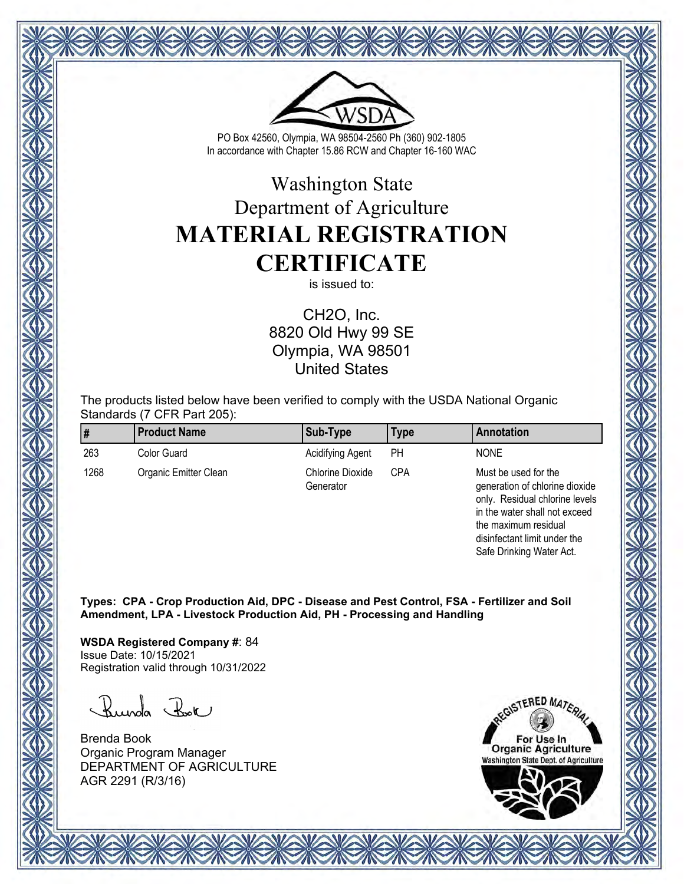

# Washington State Department of Agriculture **MATERIAL REGISTRATION CERTIFICATE**

is issued to:

CH2O, Inc. 8820 Old Hwy 99 SE Olympia, WA 98501 United States

The products listed below have been verified to comply with the USDA National Organic Standards (7 CFR Part 205):

|      | <b>Product Name</b>   | Sub-Type                             | Type | Annotation                                                                               |
|------|-----------------------|--------------------------------------|------|------------------------------------------------------------------------------------------|
| 263  | Color Guard           | Acidifying Agent                     | PН   | <b>NONE</b>                                                                              |
| 1268 | Organic Emitter Clean | <b>Chlorine Dioxide</b><br>Generator | CPA  | Must be used for the<br>generation of chlorine dioxide<br>only. Residual chlorine levels |

in the water shall not exceed the maximum residual disinfectant limit under the Safe Drinking Water Act.

**Types: CPA - Crop Production Aid, DPC - Disease and Pest Control, FSA - Fertilizer and Soil Amendment, LPA - Livestock Production Aid, PH - Processing and Handling**

**WSDA Registered Company #**: 84 Issue Date: 10/15/2021 Registration valid through 10/31/2022

Runda Rok

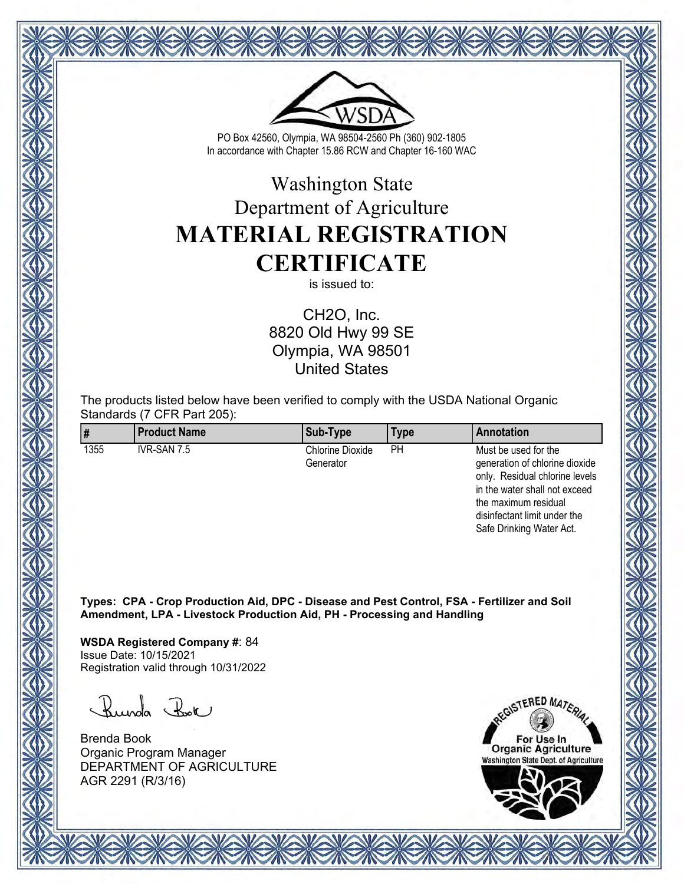

# Washington State Department of Agriculture **MATERIAL REGISTRATION CERTIFICATE**

is issued to:

CH2O, Inc. 8820 Old Hwy 99 SE Olympia, WA 98501 United States

The products listed below have been verified to comply with the USDA National Organic Standards (7 CFR Part 205):

| ∦    | <b>Product Name</b> | Sub-Type                             | Type | Annotation                                                                                                                |
|------|---------------------|--------------------------------------|------|---------------------------------------------------------------------------------------------------------------------------|
| 1355 | IVR-SAN 7.5         | <b>Chlorine Dioxide</b><br>Generator | PН   | Must be used for the<br>generation of chlorine dioxide<br>only. Residual chlorine levels<br>in the water shall not exceed |

**Types: CPA - Crop Production Aid, DPC - Disease and Pest Control, FSA - Fertilizer and Soil Amendment, LPA - Livestock Production Aid, PH - Processing and Handling**

**WSDA Registered Company #**: 84 Issue Date: 10/15/2021 Registration valid through 10/31/2022

Runda Rok

Brenda Book Organic Program Manager DEPARTMENT OF AGRICULTURE AGR 2291 (R/3/16)

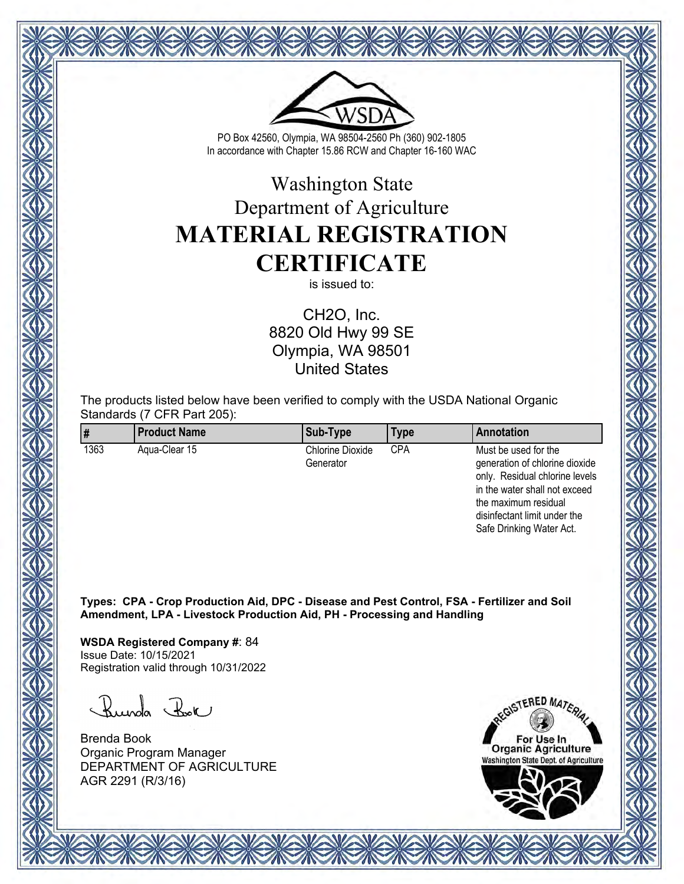

# Washington State Department of Agriculture **MATERIAL REGISTRATION CERTIFICATE**

is issued to:

CH2O, Inc. 8820 Old Hwy 99 SE Olympia, WA 98501 United States

The products listed below have been verified to comply with the USDA National Organic Standards (7 CFR Part 205):

|      | <b>Product Name</b> | Sub-Type                             | Type | <b>Annotation</b>                                                                                                                                 |
|------|---------------------|--------------------------------------|------|---------------------------------------------------------------------------------------------------------------------------------------------------|
| 1363 | Agua-Clear 15       | <b>Chlorine Dioxide</b><br>Generator | CPA  | Must be used for the<br>generation of chlorine dioxide<br>only. Residual chlorine levels<br>in the water shall not exceed<br>the maximum residual |

**Types: CPA - Crop Production Aid, DPC - Disease and Pest Control, FSA - Fertilizer and Soil Amendment, LPA - Livestock Production Aid, PH - Processing and Handling**

**WSDA Registered Company #**: 84 Issue Date: 10/15/2021 Registration valid through 10/31/2022

Runda Rok

Brenda Book Organic Program Manager DEPARTMENT OF AGRICULTURE AGR 2291 (R/3/16)



disinfectant limit under the Safe Drinking Water Act.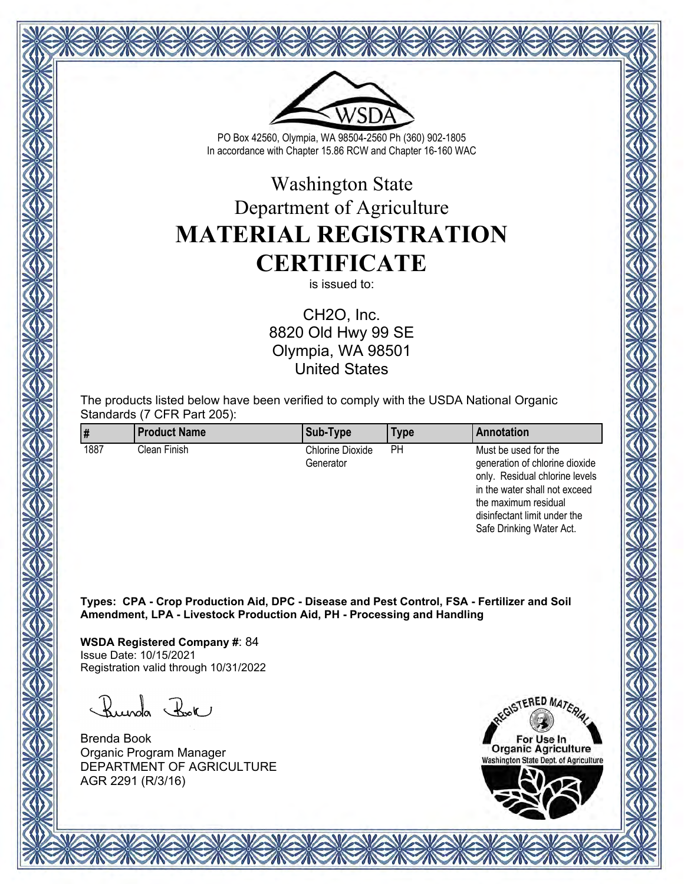

# Washington State Department of Agriculture **MATERIAL REGISTRATION CERTIFICATE**

is issued to:

CH2O, Inc. 8820 Old Hwy 99 SE Olympia, WA 98501 United States

The products listed below have been verified to comply with the USDA National Organic Standards (7 CFR Part 205):

|      | <b>Product Name</b> | Sub-Type                             | Type | <b>Annotation</b>                                                                                                                                 |
|------|---------------------|--------------------------------------|------|---------------------------------------------------------------------------------------------------------------------------------------------------|
| 1887 | Clean Finish        | <b>Chlorine Dioxide</b><br>Generator | PН   | Must be used for the<br>generation of chlorine dioxide<br>only. Residual chlorine levels<br>in the water shall not exceed<br>the maximum residual |

**Types: CPA - Crop Production Aid, DPC - Disease and Pest Control, FSA - Fertilizer and Soil Amendment, LPA - Livestock Production Aid, PH - Processing and Handling**

**WSDA Registered Company #**: 84 Issue Date: 10/15/2021 Registration valid through 10/31/2022

Runda Rok

Brenda Book Organic Program Manager DEPARTMENT OF AGRICULTURE AGR 2291 (R/3/16)



disinfectant limit under the Safe Drinking Water Act.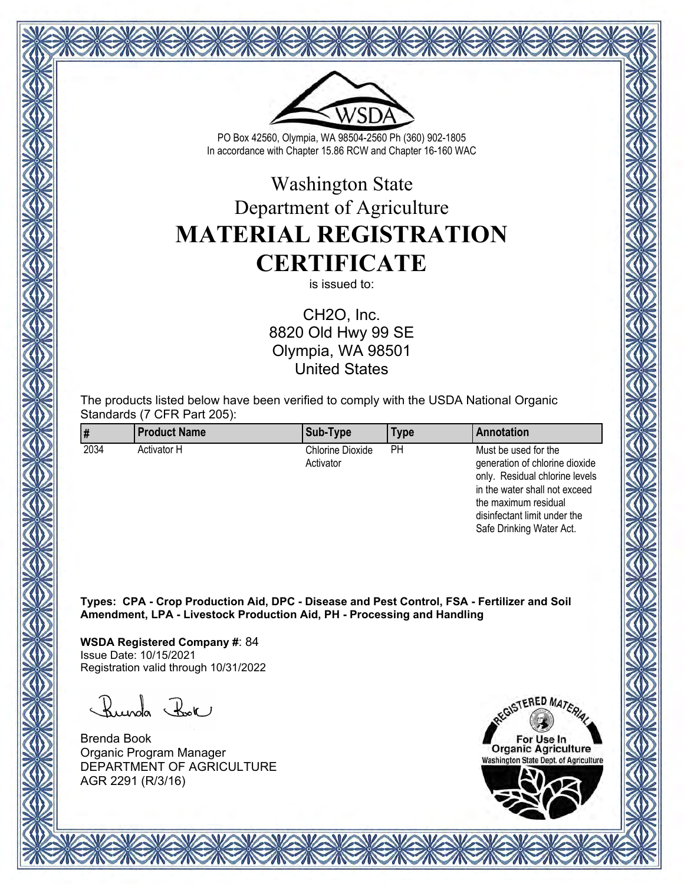

# Washington State Department of Agriculture **MATERIAL REGISTRATION CERTIFICATE**

is issued to:

CH2O, Inc. 8820 Old Hwy 99 SE Olympia, WA 98501 United States

The products listed below have been verified to comply with the USDA National Organic Standards (7 CFR Part 205):

|      | <b>Product Name</b> | Sub-Type                             | Type | Annotation                                                                                                                |
|------|---------------------|--------------------------------------|------|---------------------------------------------------------------------------------------------------------------------------|
| 2034 | Activator H         | <b>Chlorine Dioxide</b><br>Activator | PН   | Must be used for the<br>generation of chlorine dioxide<br>only. Residual chlorine levels<br>in the water shall not exceed |

**Types: CPA - Crop Production Aid, DPC - Disease and Pest Control, FSA - Fertilizer and Soil Amendment, LPA - Livestock Production Aid, PH - Processing and Handling**

**WSDA Registered Company #**: 84 Issue Date: 10/15/2021 Registration valid through 10/31/2022

Runda Rok

Brenda Book Organic Program Manager DEPARTMENT OF AGRICULTURE AGR 2291 (R/3/16)

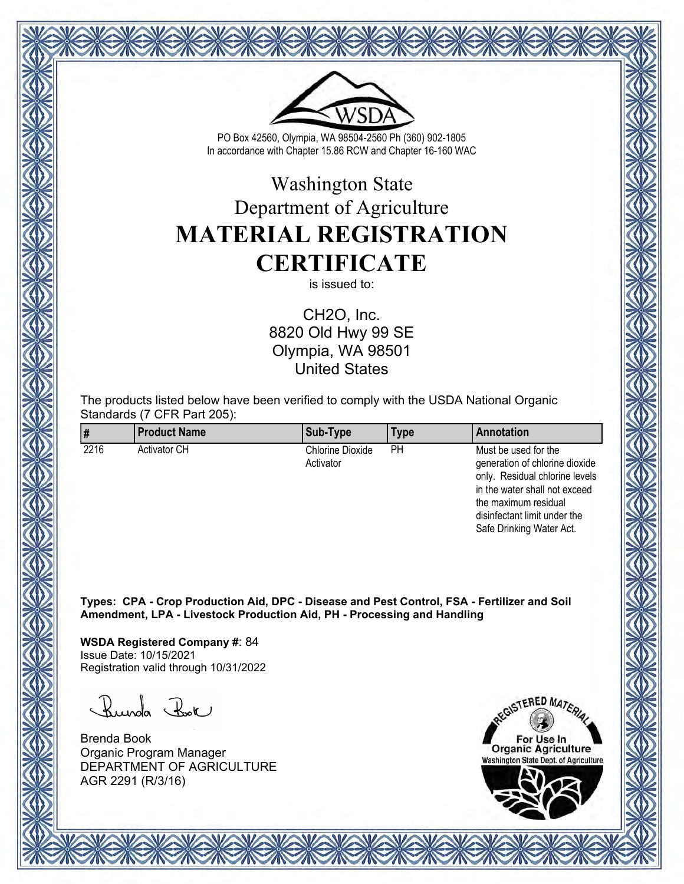

# Washington State Department of Agriculture **MATERIAL REGISTRATION CERTIFICATE**

is issued to:

CH2O, Inc. 8820 Old Hwy 99 SE Olympia, WA 98501 United States

The products listed below have been verified to comply with the USDA National Organic Standards (7 CFR Part 205):

| 1#   | <b>Product Name</b> | Sub-Type                             | Type | Annotation                                                                                                                |
|------|---------------------|--------------------------------------|------|---------------------------------------------------------------------------------------------------------------------------|
| 2216 | <b>Activator CH</b> | <b>Chlorine Dioxide</b><br>Activator | PН   | Must be used for the<br>generation of chlorine dioxide<br>only. Residual chlorine levels<br>in the water shall not exceed |

**Types: CPA - Crop Production Aid, DPC - Disease and Pest Control, FSA - Fertilizer and Soil Amendment, LPA - Livestock Production Aid, PH - Processing and Handling**

**WSDA Registered Company #**: 84 Issue Date: 10/15/2021 Registration valid through 10/31/2022

Runda Rok

Brenda Book Organic Program Manager DEPARTMENT OF AGRICULTURE AGR 2291 (R/3/16)

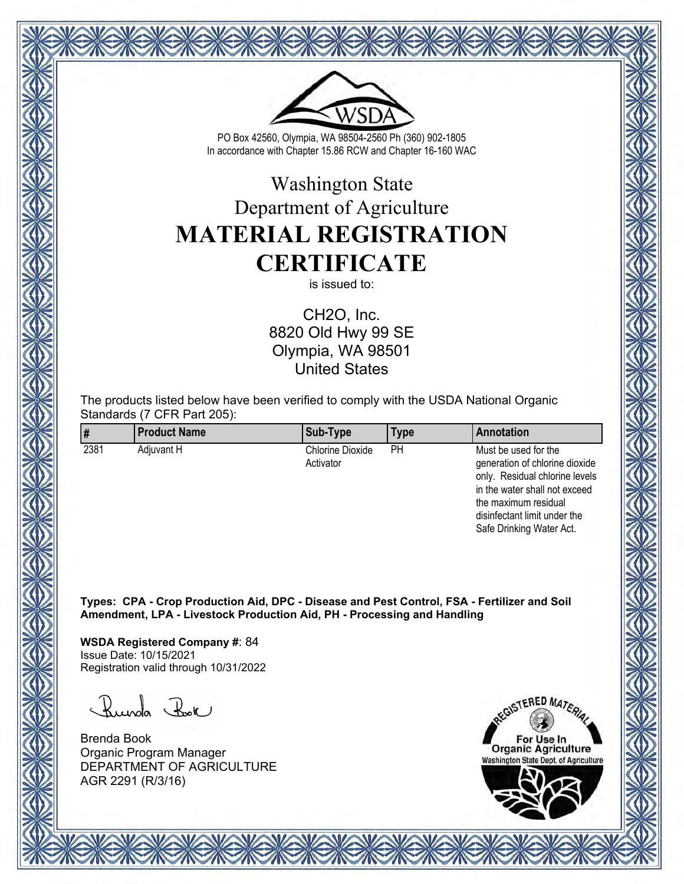

# Washington State Department of Agriculture **MATERIAL REGISTRATION CERTIFICATE**

is issued to:

CH2O, Inc. 8820 Old Hwy 99 SE Olympia, WA 98501 United States

The products listed below have been verified to comply with the USDA National Organic Standards (7 CFR Part 205):

| ∥#   | <b>Product Name</b> | Sub-Type                             | Type | Annotation                                                                                                                |
|------|---------------------|--------------------------------------|------|---------------------------------------------------------------------------------------------------------------------------|
| 2381 | Adiuvant H          | <b>Chlorine Dioxide</b><br>Activator | PН   | Must be used for the<br>generation of chlorine dioxide<br>only. Residual chlorine levels<br>in the water shall not exceed |

**Types: CPA - Crop Production Aid, DPC - Disease and Pest Control, FSA - Fertilizer and Soil Amendment, LPA - Livestock Production Aid, PH - Processing and Handling**

**WSDA Registered Company #**: 84 Issue Date: 10/15/2021 Registration valid through 10/31/2022

Runda Rok

Brenda Book Organic Program Manager DEPARTMENT OF AGRICULTURE AGR 2291 (R/3/16)

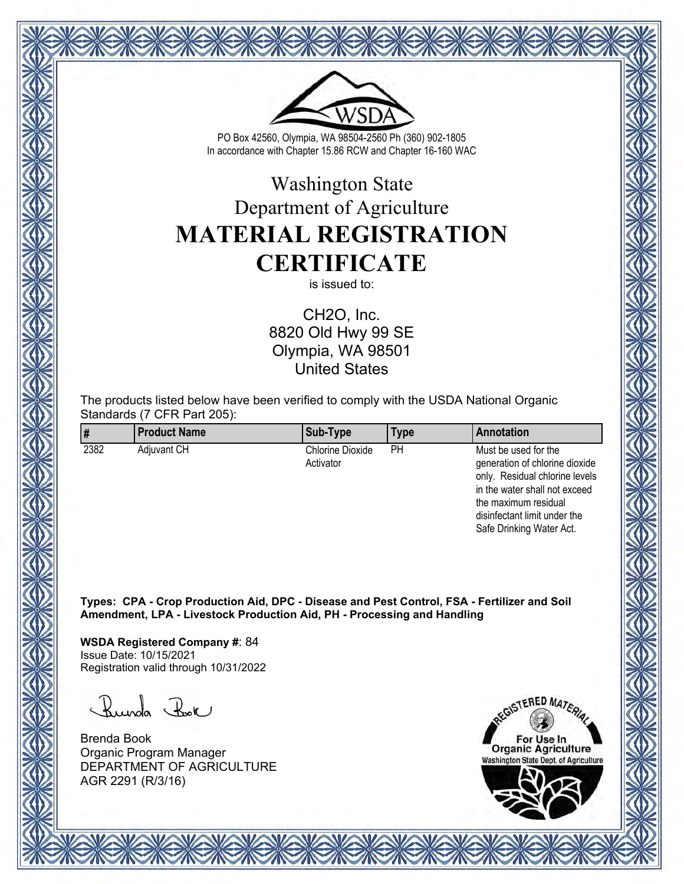

# Washington State Department of Agriculture **MATERIAL REGISTRATION CERTIFICATE**

is issued to:

CH2O, Inc. 8820 Old Hwy 99 SE Olympia, WA 98501 United States

The products listed below have been verified to comply with the USDA National Organic Standards (7 CFR Part 205):

| ∥#   | <b>Product Name</b> | Sub-Type                      | Type | Annotation                                                                                                                |
|------|---------------------|-------------------------------|------|---------------------------------------------------------------------------------------------------------------------------|
| 2382 | <b>Adiuvant CH</b>  | Chlorine Dioxide<br>Activator | PН   | Must be used for the<br>generation of chlorine dioxide<br>only. Residual chlorine levels<br>in the water shall not exceed |

**Types: CPA - Crop Production Aid, DPC - Disease and Pest Control, FSA - Fertilizer and Soil Amendment, LPA - Livestock Production Aid, PH - Processing and Handling**

**WSDA Registered Company #**: 84 Issue Date: 10/15/2021 Registration valid through 10/31/2022

Runda Rok

Brenda Book Organic Program Manager DEPARTMENT OF AGRICULTURE AGR 2291 (R/3/16)

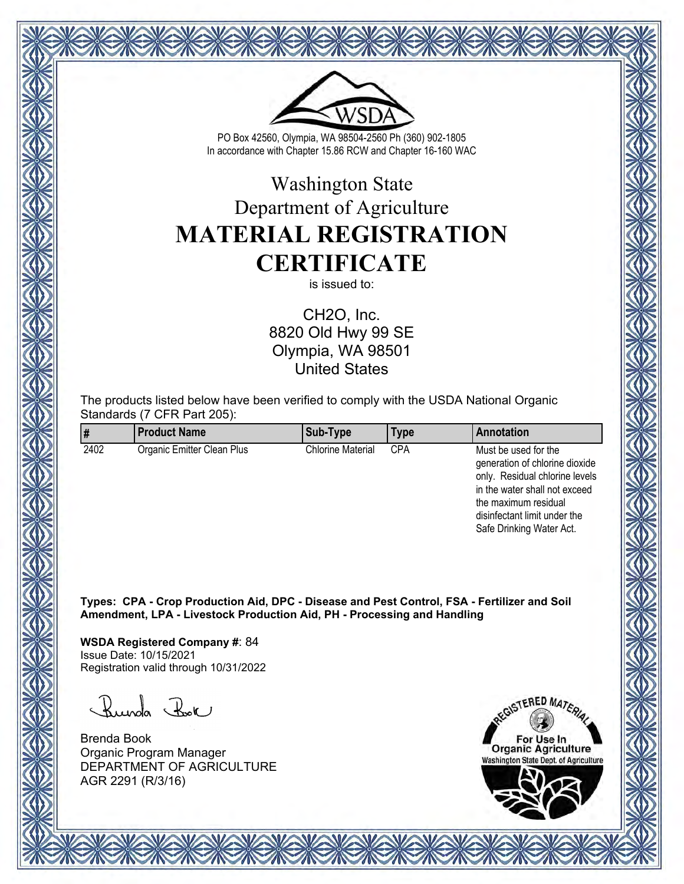

# Washington State Department of Agriculture **MATERIAL REGISTRATION CERTIFICATE**

is issued to:

CH2O, Inc. 8820 Old Hwy 99 SE Olympia, WA 98501 United States

The products listed below have been verified to comply with the USDA National Organic Standards (7 CFR Part 205):

|      | <b>Product Name</b>        | Sub-Type                 | Type       | Annotation                                                                                                                                                                                                    |
|------|----------------------------|--------------------------|------------|---------------------------------------------------------------------------------------------------------------------------------------------------------------------------------------------------------------|
| 2402 | Organic Emitter Clean Plus | <b>Chlorine Material</b> | <b>CPA</b> | Must be used for the<br>generation of chlorine dioxide<br>only. Residual chlorine levels<br>in the water shall not exceed<br>the maximum residual<br>disinfectant limit under the<br>Safe Drinking Water Act. |

**Types: CPA - Crop Production Aid, DPC - Disease and Pest Control, FSA - Fertilizer and Soil Amendment, LPA - Livestock Production Aid, PH - Processing and Handling**

**WSDA Registered Company #**: 84 Issue Date: 10/15/2021 Registration valid through 10/31/2022

Runda Rok

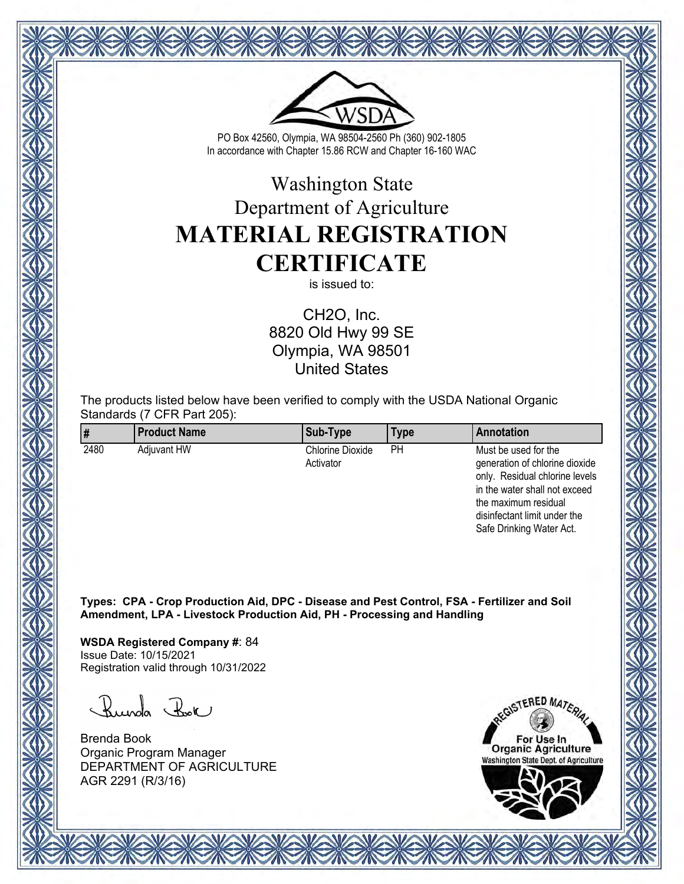

# Washington State Department of Agriculture **MATERIAL REGISTRATION CERTIFICATE**

is issued to:

CH2O, Inc. 8820 Old Hwy 99 SE Olympia, WA 98501 United States

The products listed below have been verified to comply with the USDA National Organic Standards (7 CFR Part 205):

| ∥#   | <b>Product Name</b> | Sub-Type                      | Type | Annotation                                                                                                                |
|------|---------------------|-------------------------------|------|---------------------------------------------------------------------------------------------------------------------------|
| 2480 | <b>Adiuvant HW</b>  | Chlorine Dioxide<br>Activator | PН   | Must be used for the<br>generation of chlorine dioxide<br>only. Residual chlorine levels<br>in the water shall not exceed |

**Types: CPA - Crop Production Aid, DPC - Disease and Pest Control, FSA - Fertilizer and Soil Amendment, LPA - Livestock Production Aid, PH - Processing and Handling**

**WSDA Registered Company #**: 84 Issue Date: 10/15/2021 Registration valid through 10/31/2022

Runda Rok

Brenda Book Organic Program Manager DEPARTMENT OF AGRICULTURE AGR 2291 (R/3/16)

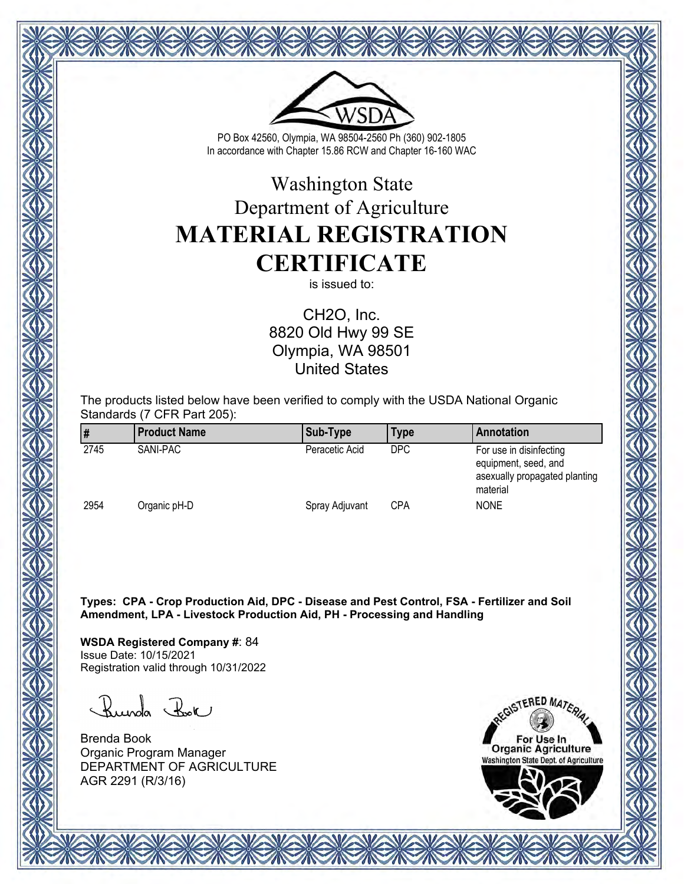

# Washington State Department of Agriculture **MATERIAL REGISTRATION CERTIFICATE**

is issued to:

CH2O, Inc. 8820 Old Hwy 99 SE Olympia, WA 98501 United States

The products listed below have been verified to comply with the USDA National Organic Standards (7 CFR Part 205):

|      | <b>Product Name</b> | Sub-Type       | Type       | Annotation                                                                                   |
|------|---------------------|----------------|------------|----------------------------------------------------------------------------------------------|
| 2745 | SANI-PAC            | Peracetic Acid | <b>DPC</b> | For use in disinfecting<br>equipment, seed, and<br>asexually propagated planting<br>material |
| 2954 | Organic pH-D        | Spray Adjuvant | <b>CPA</b> | <b>NONE</b>                                                                                  |

**Types: CPA - Crop Production Aid, DPC - Disease and Pest Control, FSA - Fertilizer and Soil Amendment, LPA - Livestock Production Aid, PH - Processing and Handling**

**WSDA Registered Company #**: 84 Issue Date: 10/15/2021 Registration valid through 10/31/2022

Runda Rok

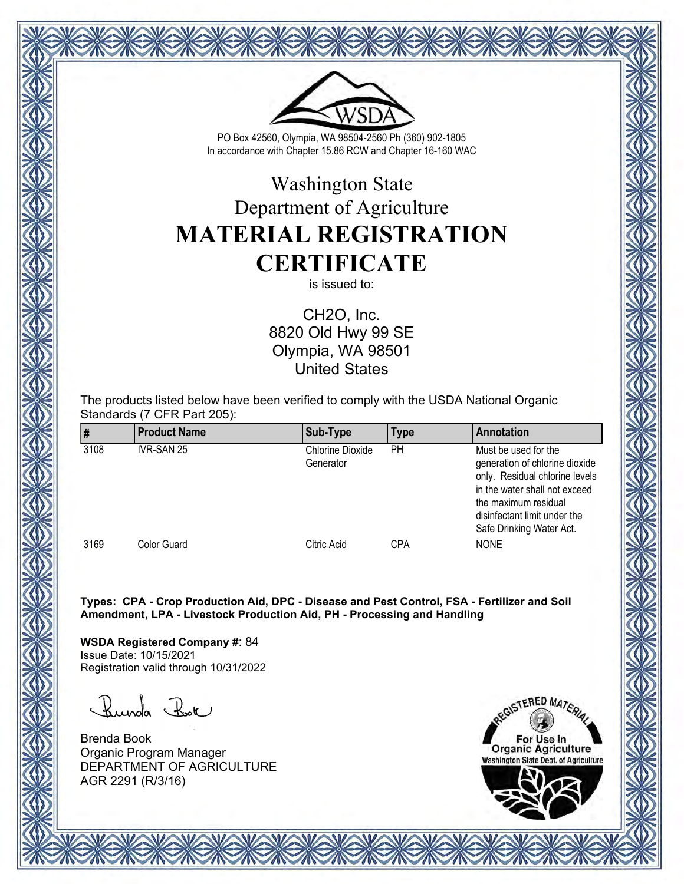

# Washington State Department of Agriculture **MATERIAL REGISTRATION CERTIFICATE**

is issued to:

CH2O, Inc. 8820 Old Hwy 99 SE Olympia, WA 98501 United States

The products listed below have been verified to comply with the USDA National Organic Standards (7 CFR Part 205):

|      | <b>Product Name</b> | Sub-Type                             | Type | Annotation                                                                                                                                                                                                    |
|------|---------------------|--------------------------------------|------|---------------------------------------------------------------------------------------------------------------------------------------------------------------------------------------------------------------|
| 3108 | IVR-SAN 25          | <b>Chlorine Dioxide</b><br>Generator | PH   | Must be used for the<br>generation of chlorine dioxide<br>only. Residual chlorine levels<br>in the water shall not exceed<br>the maximum residual<br>disinfectant limit under the<br>Safe Drinking Water Act. |
| 3169 | <b>Color Guard</b>  | Citric Acid                          | CPA  | <b>NONE</b>                                                                                                                                                                                                   |

**Types: CPA - Crop Production Aid, DPC - Disease and Pest Control, FSA - Fertilizer and Soil Amendment, LPA - Livestock Production Aid, PH - Processing and Handling**

**WSDA Registered Company #**: 84 Issue Date: 10/15/2021 Registration valid through 10/31/2022

Runda Rok

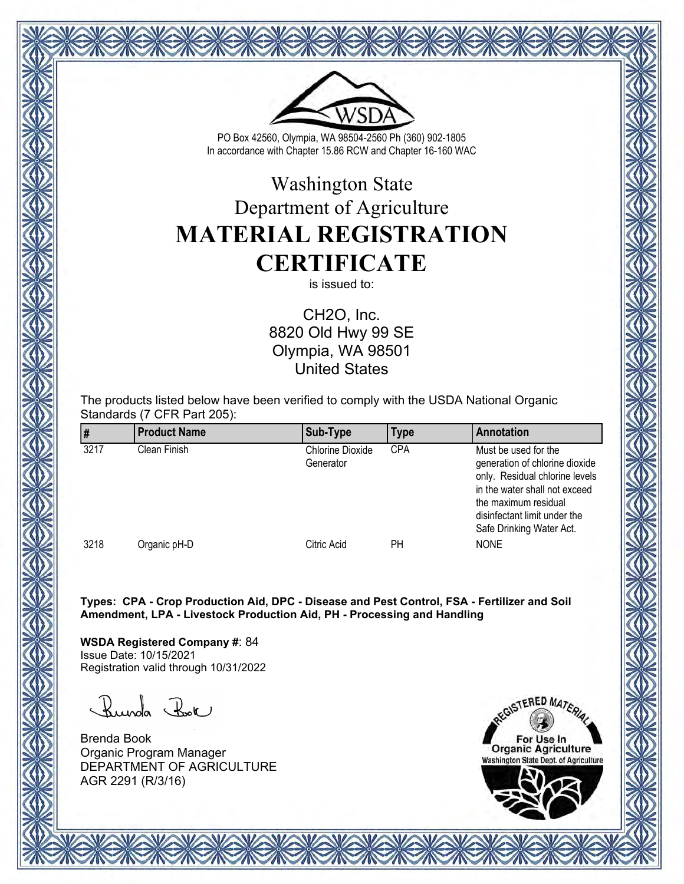

# Washington State Department of Agriculture **MATERIAL REGISTRATION CERTIFICATE**

is issued to:

CH2O, Inc. 8820 Old Hwy 99 SE Olympia, WA 98501 United States

The products listed below have been verified to comply with the USDA National Organic Standards (7 CFR Part 205):

|      | <b>Product Name</b> | Sub-Type                             | Type       | Annotation                                                                                                                                                                                                    |
|------|---------------------|--------------------------------------|------------|---------------------------------------------------------------------------------------------------------------------------------------------------------------------------------------------------------------|
| 3217 | Clean Finish        | <b>Chlorine Dioxide</b><br>Generator | <b>CPA</b> | Must be used for the<br>generation of chlorine dioxide<br>only. Residual chlorine levels<br>in the water shall not exceed<br>the maximum residual<br>disinfectant limit under the<br>Safe Drinking Water Act. |
| 3218 | Organic pH-D        | Citric Acid                          | PН         | <b>NONE</b>                                                                                                                                                                                                   |

**Types: CPA - Crop Production Aid, DPC - Disease and Pest Control, FSA - Fertilizer and Soil Amendment, LPA - Livestock Production Aid, PH - Processing and Handling**

**WSDA Registered Company #**: 84 Issue Date: 10/15/2021 Registration valid through 10/31/2022

Runda Rok

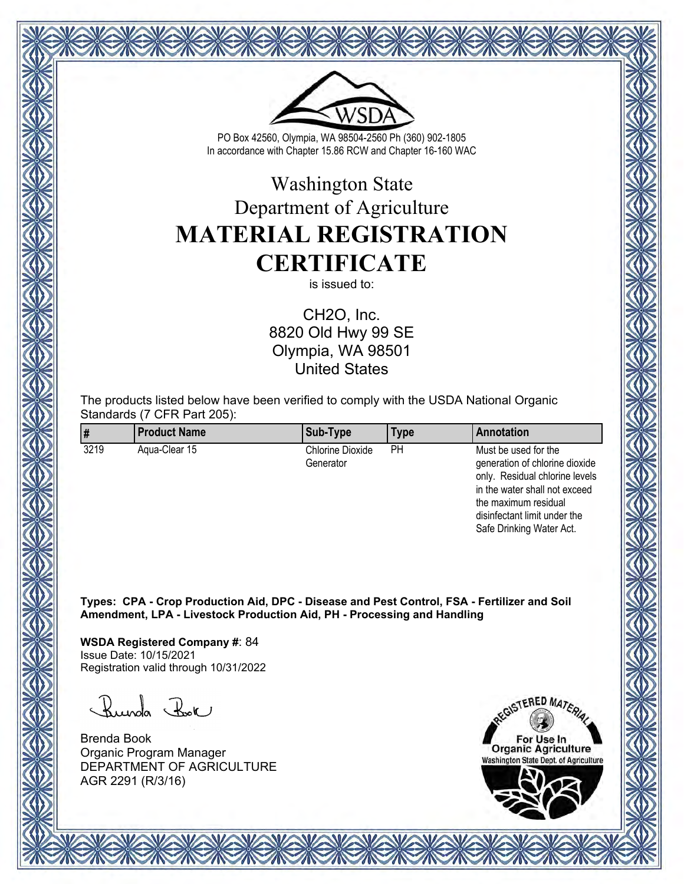

# Washington State Department of Agriculture **MATERIAL REGISTRATION CERTIFICATE**

is issued to:

CH2O, Inc. 8820 Old Hwy 99 SE Olympia, WA 98501 United States

The products listed below have been verified to comply with the USDA National Organic Standards (7 CFR Part 205):

|      | <b>Product Name</b> | Sub-Type                             | Type | Annotation                                                                                                                                        |
|------|---------------------|--------------------------------------|------|---------------------------------------------------------------------------------------------------------------------------------------------------|
| 3219 | Agua-Clear 15       | <b>Chlorine Dioxide</b><br>Generator | PН   | Must be used for the<br>generation of chlorine dioxide<br>only. Residual chlorine levels<br>in the water shall not exceed<br>the maximum residual |

**Types: CPA - Crop Production Aid, DPC - Disease and Pest Control, FSA - Fertilizer and Soil Amendment, LPA - Livestock Production Aid, PH - Processing and Handling**

**WSDA Registered Company #**: 84 Issue Date: 10/15/2021 Registration valid through 10/31/2022

Runda Rok

Brenda Book Organic Program Manager DEPARTMENT OF AGRICULTURE AGR 2291 (R/3/16)



disinfectant limit under the Safe Drinking Water Act.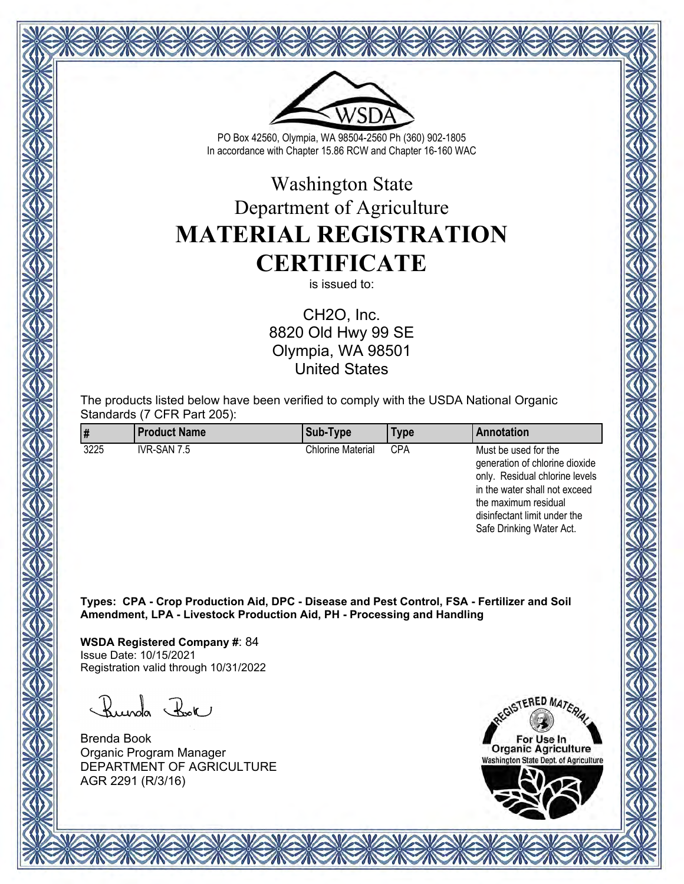

# Washington State Department of Agriculture **MATERIAL REGISTRATION CERTIFICATE**

is issued to:

CH2O, Inc. 8820 Old Hwy 99 SE Olympia, WA 98501 United States

The products listed below have been verified to comply with the USDA National Organic Standards (7 CFR Part 205):

|      | <b>Product Name</b> | Sub-Type                 | Type       | Annotation                                                                                                                                                                                                    |
|------|---------------------|--------------------------|------------|---------------------------------------------------------------------------------------------------------------------------------------------------------------------------------------------------------------|
| 3225 | IVR-SAN 7.5         | <b>Chlorine Material</b> | <b>CPA</b> | Must be used for the<br>generation of chlorine dioxide<br>only. Residual chlorine levels<br>in the water shall not exceed<br>the maximum residual<br>disinfectant limit under the<br>Safe Drinking Water Act. |

**Types: CPA - Crop Production Aid, DPC - Disease and Pest Control, FSA - Fertilizer and Soil Amendment, LPA - Livestock Production Aid, PH - Processing and Handling**

**WSDA Registered Company #**: 84 Issue Date: 10/15/2021 Registration valid through 10/31/2022

Runda Rok

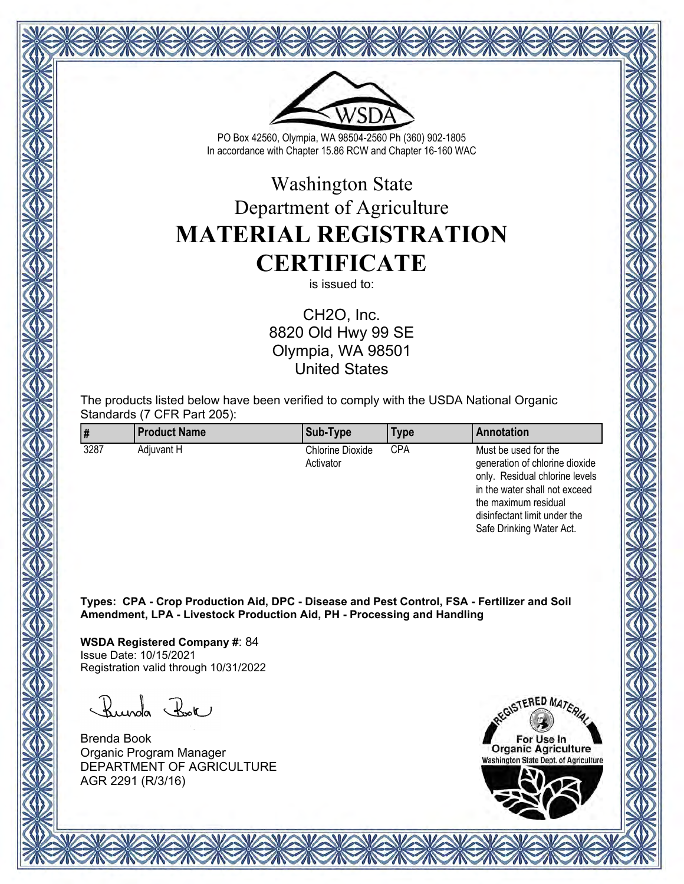

# Washington State Department of Agriculture **MATERIAL REGISTRATION CERTIFICATE**

is issued to:

CH2O, Inc. 8820 Old Hwy 99 SE Olympia, WA 98501 United States

The products listed below have been verified to comply with the USDA National Organic Standards (7 CFR Part 205):

| ∥#   | <b>Product Name</b> | Sub-Type                             | Type | Annotation                                                                                                                |
|------|---------------------|--------------------------------------|------|---------------------------------------------------------------------------------------------------------------------------|
| 3287 | Adiuvant H          | <b>Chlorine Dioxide</b><br>Activator | CPA  | Must be used for the<br>generation of chlorine dioxide<br>only. Residual chlorine levels<br>in the water shall not exceed |

**Types: CPA - Crop Production Aid, DPC - Disease and Pest Control, FSA - Fertilizer and Soil Amendment, LPA - Livestock Production Aid, PH - Processing and Handling**

**WSDA Registered Company #**: 84 Issue Date: 10/15/2021 Registration valid through 10/31/2022

Runda Rok

Brenda Book Organic Program Manager DEPARTMENT OF AGRICULTURE AGR 2291 (R/3/16)

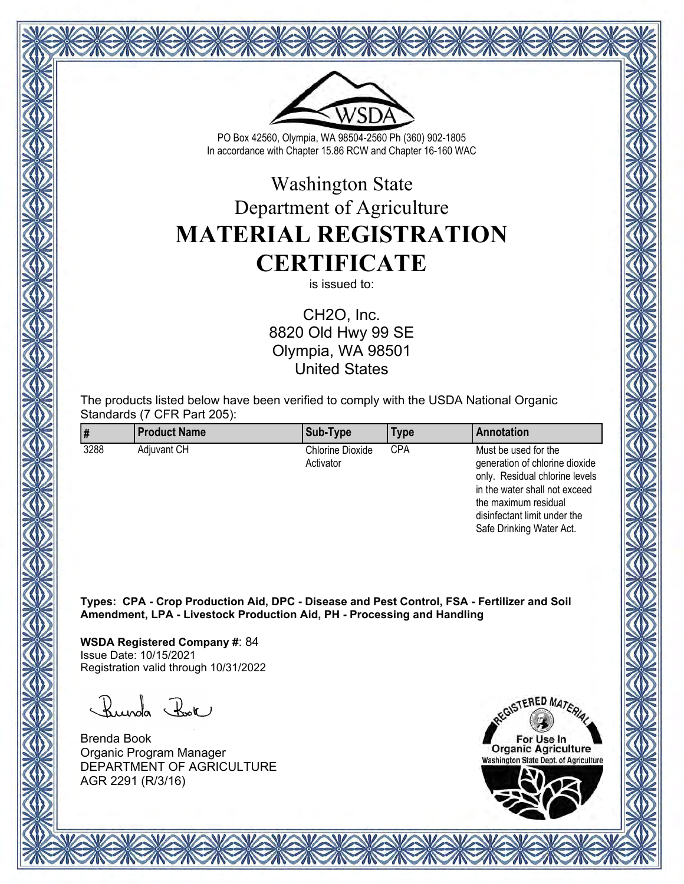

# Washington State Department of Agriculture **MATERIAL REGISTRATION CERTIFICATE**

is issued to:

CH2O, Inc. 8820 Old Hwy 99 SE Olympia, WA 98501 United States

The products listed below have been verified to comply with the USDA National Organic Standards (7 CFR Part 205):

| ∥#   | <b>Product Name</b> | Sub-Type                             | Type | Annotation                                                                                                                |
|------|---------------------|--------------------------------------|------|---------------------------------------------------------------------------------------------------------------------------|
| 3288 | <b>Adiuvant CH</b>  | <b>Chlorine Dioxide</b><br>Activator | CPA  | Must be used for the<br>generation of chlorine dioxide<br>only. Residual chlorine levels<br>in the water shall not exceed |

**Types: CPA - Crop Production Aid, DPC - Disease and Pest Control, FSA - Fertilizer and Soil Amendment, LPA - Livestock Production Aid, PH - Processing and Handling**

**WSDA Registered Company #**: 84 Issue Date: 10/15/2021 Registration valid through 10/31/2022

Runda Rok

Brenda Book Organic Program Manager DEPARTMENT OF AGRICULTURE AGR 2291 (R/3/16)